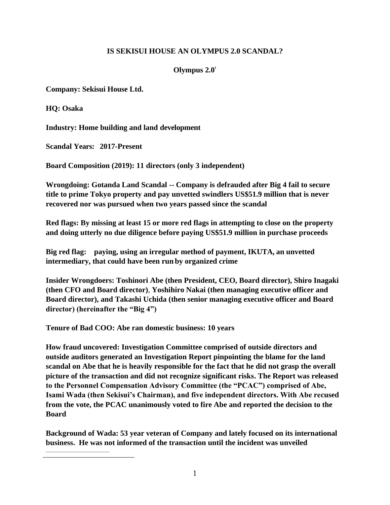## **IS SEKISUI HOUSE AN OLYMPUS 2.0 SCANDAL?**

## <span id="page-0-0"></span>Olympus  $2.0<sup>1</sup>$

**Company: Sekisui House Ltd.** 

**HQ: Osaka**

**Industry: Home building and land development** 

**Scandal Years: 2017-Present**

**Board Composition (2019): 11 directors (only 3 independent)**

**Wrongdoing: Gotanda Land Scandal -- Company is defrauded after Big 4 fail to secure title to prime Tokyo property and pay unvetted swindlers US\$51.9 million that is never recovered nor was pursued when two years passed since the scandal**

**Red flags: By missing at least 15 or more red flags in attempting to close on the property and doing utterly no due diligence before paying US\$51.9 million in purchase proceeds**

**Big red flag: paying, using an irregular method of payment, IKUTA, an unvetted intermediary, that could have been run by organized crime**

**Insider Wrongdoers: Toshinori Abe (then President, CEO, Board director), Shiro Inagaki (then CFO and Board director)**, **Yoshihiro Nakai (then managing executive officer and Board director), and Takashi Uchida (then senior managing executive officer and Board director) (hereinafter the "Big 4")**

**Tenure of Bad COO: Abe ran domestic business: 10 years**

**How fraud uncovered: Investigation Committee comprised of outside directors and outside auditors generated an Investigation Report pinpointing the blame for the land scandal on Abe that he is heavily responsible for the fact that he did not grasp the overall picture of the transaction and did not recognize significant risks. The Report was released to the Personnel Compensation Advisory Committee (the "PCAC") comprised of Abe, Isami Wada (then Sekisui's Chairman), and five independent directors. With Abe recused from the vote, the PCAC unanimously voted to fire Abe and reported the decision to the Board**

**Background of Wada: 53 year veteran of Company and lately focused on its international business. He was not informed of the transaction until the incident was unveiled**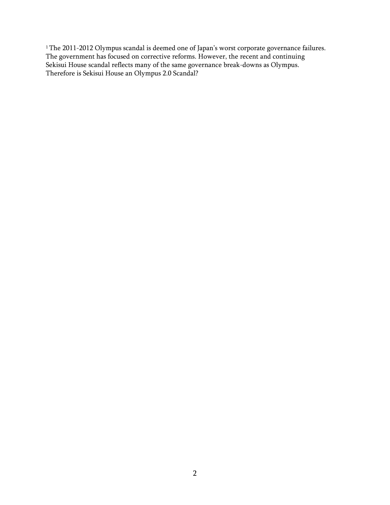$^1$  $^1$ The 2011-2012 Olympus scandal is deemed one of Japan's worst corporate governance failures. The government has focused on corrective reforms. However, the recent and continuing Sekisui House scandal reflects many of the same governance break-downs as Olympus. Therefore is Sekisui House an Olympus 2.0 Scandal?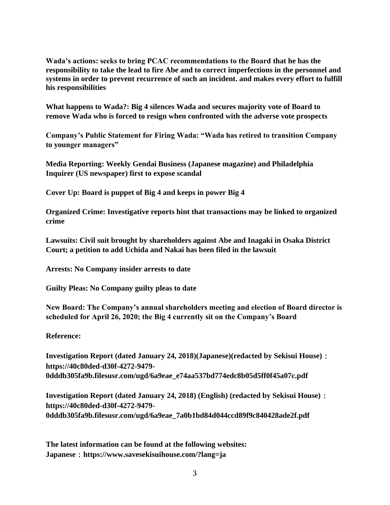**Wada's actions: seeks to bring PCAC recommendations to the Board that he has the responsibility to take the lead to fire Abe and to correct imperfections in the personnel and systems in order to prevent recurrence of such an incident. and makes every effort to fulfill his responsibilities**

**What happens to Wada?: Big 4 silences Wada and secures majority vote of Board to remove Wada who is forced to resign when confronted with the adverse vote prospects**

**Company's Public Statement for Firing Wada: "Wada has retired to transition Company to younger managers"**

**Media Reporting: Weekly Gendai Business (Japanese magazine) and Philadelphia Inquirer (US newspaper) first to expose scandal**

**Cover Up: Board is puppet of Big 4 and keeps in power Big 4**

**Organized Crime: Investigative reports hint that transactions may be linked to organized crime**

**Lawsuits: Civil suit brought by shareholders against Abe and Inagaki in Osaka District Court; a petition to add Uchida and Nakai has been filed in the lawsuit**

**Arrests: No Company insider arrests to date** 

**Guilty Pleas: No Company guilty pleas to date**

**New Board: The Company's annual shareholders meeting and election of Board director is scheduled for April 26, 2020; the Big 4 currently sit on the Company's Board**

## **Reference:**

**Investigation Report (dated January 24, 2018)(Japanese)(redacted by Sekisui House)**: **https://40c80ded-d30f-4272-9479- 0dddb305fa9b.filesusr.com/ugd/6a9eae\_e74aa537bd774edc8b05d5ff0f45a07c.pdf**

**Investigation Report (dated January 24, 2018) (English) (redacted by Sekisui House)**: **https://40c80ded-d30f-4272-9479- 0dddb305fa9b.filesusr.com/ugd/6a9eae\_7a0b1bd84d044ccd89f9c840428ade2f.pdf**

**The latest information can be found at the following websites: Japanese**:**https://www.savesekisuihouse.com/?lang=ja**